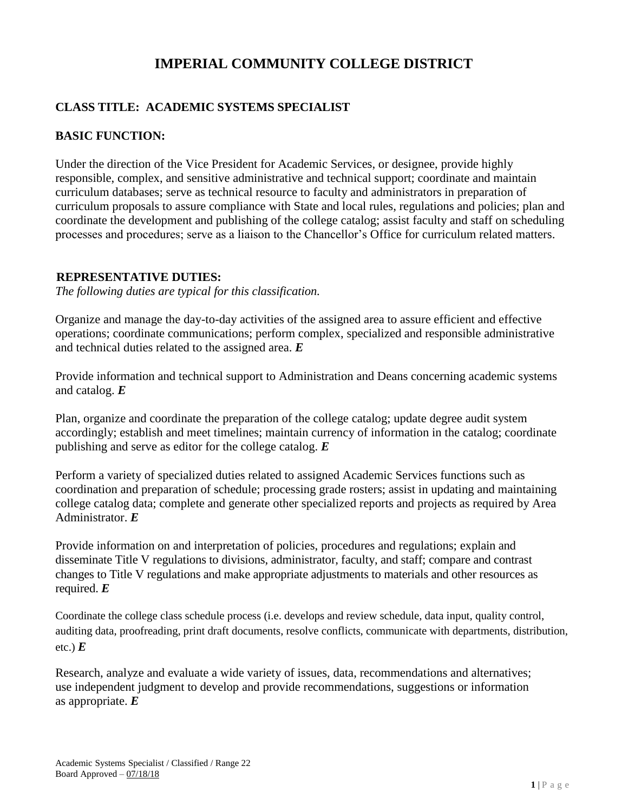# **IMPERIAL COMMUNITY COLLEGE DISTRICT**

# **CLASS TITLE: ACADEMIC SYSTEMS SPECIALIST**

## **BASIC FUNCTION:**

Under the direction of the Vice President for Academic Services, or designee, provide highly responsible, complex, and sensitive administrative and technical support; coordinate and maintain curriculum databases; serve as technical resource to faculty and administrators in preparation of curriculum proposals to assure compliance with State and local rules, regulations and policies; plan and coordinate the development and publishing of the college catalog; assist faculty and staff on scheduling processes and procedures; serve as a liaison to the Chancellor's Office for curriculum related matters.

#### **REPRESENTATIVE DUTIES:**

*The following duties are typical for this classification.*

Organize and manage the day-to-day activities of the assigned area to assure efficient and effective operations; coordinate communications; perform complex, specialized and responsible administrative and technical duties related to the assigned area. *E*

Provide information and technical support to Administration and Deans concerning academic systems and catalog. *E*

Plan, organize and coordinate the preparation of the college catalog; update degree audit system accordingly; establish and meet timelines; maintain currency of information in the catalog; coordinate publishing and serve as editor for the college catalog. *E*

Perform a variety of specialized duties related to assigned Academic Services functions such as coordination and preparation of schedule; processing grade rosters; assist in updating and maintaining college catalog data; complete and generate other specialized reports and projects as required by Area Administrator. *E*

Provide information on and interpretation of policies, procedures and regulations; explain and disseminate Title V regulations to divisions, administrator, faculty, and staff; compare and contrast changes to Title V regulations and make appropriate adjustments to materials and other resources as required. *E*

Coordinate the college class schedule process (i.e. develops and review schedule, data input, quality control, auditing data, proofreading, print draft documents, resolve conflicts, communicate with departments, distribution, etc.)  $\boldsymbol{E}$ 

Research, analyze and evaluate a wide variety of issues, data, recommendations and alternatives; use independent judgment to develop and provide recommendations, suggestions or information as appropriate. *E*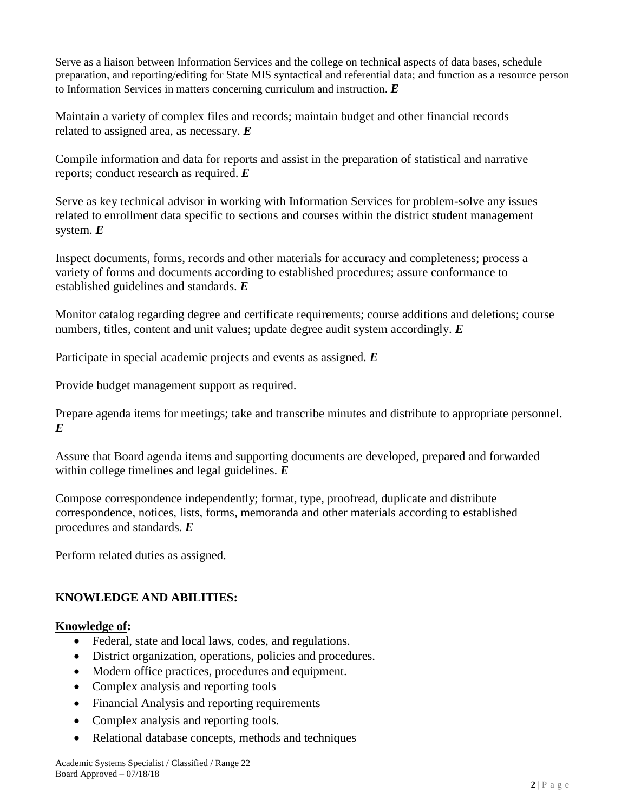Serve as a liaison between Information Services and the college on technical aspects of data bases, schedule preparation, and reporting/editing for State MIS syntactical and referential data; and function as a resource person to Information Services in matters concerning curriculum and instruction. *E*

Maintain a variety of complex files and records; maintain budget and other financial records related to assigned area, as necessary. *E*

Compile information and data for reports and assist in the preparation of statistical and narrative reports; conduct research as required. *E*

Serve as key technical advisor in working with Information Services for problem-solve any issues related to enrollment data specific to sections and courses within the district student management system. *E*

Inspect documents, forms, records and other materials for accuracy and completeness; process a variety of forms and documents according to established procedures; assure conformance to established guidelines and standards. *E*

Monitor catalog regarding degree and certificate requirements; course additions and deletions; course numbers, titles, content and unit values; update degree audit system accordingly. *E*

Participate in special academic projects and events as assigned. *E*

Provide budget management support as required.

Prepare agenda items for meetings; take and transcribe minutes and distribute to appropriate personnel. *E*

Assure that Board agenda items and supporting documents are developed, prepared and forwarded within college timelines and legal guidelines. *E*

Compose correspondence independently; format, type, proofread, duplicate and distribute correspondence, notices, lists, forms, memoranda and other materials according to established procedures and standards. *E*

Perform related duties as assigned.

## **KNOWLEDGE AND ABILITIES:**

#### **Knowledge of:**

- Federal, state and local laws, codes, and regulations.
- District organization, operations, policies and procedures.
- Modern office practices, procedures and equipment.
- Complex analysis and reporting tools
- Financial Analysis and reporting requirements
- Complex analysis and reporting tools.
- Relational database concepts, methods and techniques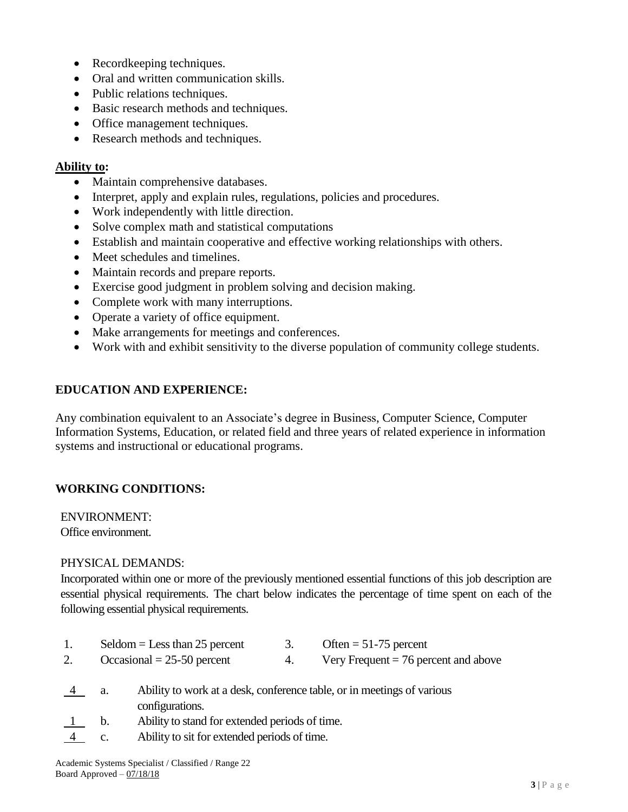- Recordkeeping techniques.
- Oral and written communication skills.
- Public relations techniques.
- Basic research methods and techniques.
- Office management techniques.
- Research methods and techniques.

#### **Ability to:**

- Maintain comprehensive databases.
- Interpret, apply and explain rules, regulations, policies and procedures.
- Work independently with little direction.
- Solve complex math and statistical computations
- Establish and maintain cooperative and effective working relationships with others.
- Meet schedules and timelines.
- Maintain records and prepare reports.
- Exercise good judgment in problem solving and decision making.
- Complete work with many interruptions.
- Operate a variety of office equipment.
- Make arrangements for meetings and conferences.
- Work with and exhibit sensitivity to the diverse population of community college students.

### **EDUCATION AND EXPERIENCE:**

Any combination equivalent to an Associate's degree in Business, Computer Science, Computer Information Systems, Education, or related field and three years of related experience in information systems and instructional or educational programs.

## **WORKING CONDITIONS:**

ENVIRONMENT: Office environment.

#### PHYSICAL DEMANDS:

Incorporated within one or more of the previously mentioned essential functions of this job description are essential physical requirements. The chart below indicates the percentage of time spent on each of the following essential physical requirements.

| Seldom = Less than 25 percent |  |  | Often = $51-75$ percent |
|-------------------------------|--|--|-------------------------|
|-------------------------------|--|--|-------------------------|

- 2. Occasional  $= 25-50$  percent 4. Very Frequent  $= 76$  percent and above
- 4 a. Ability to work at a desk, conference table, or in meetings of various configurations.
- 1 b. Ability to stand for extended periods of time.
- 4 c. Ability to sit for extended periods of time.